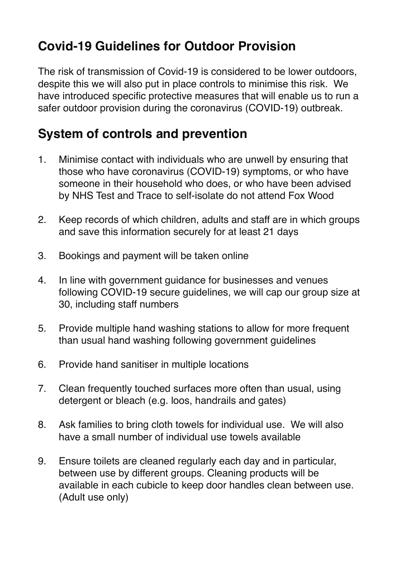## **Covid-19 Guidelines for Outdoor Provision**

The risk of transmission of Covid-19 is considered to be lower outdoors, despite this we will also put in place controls to minimise this risk. We have introduced specific protective measures that will enable us to run a safer outdoor provision during the coronavirus (COVID-19) outbreak.

## **System of controls and prevention**

- 1. Minimise contact with individuals who are unwell by ensuring that those who have coronavirus (COVID-19) symptoms, or who have someone in their household who does, or who have been advised by NHS Test and Trace to self-isolate do not attend Fox Wood
- 2. Keep records of which children, adults and staff are in which groups and save this information securely for at least 21 days
- 3. Bookings and payment will be taken online
- 4. In line with government guidance for businesses and venues following COVID-19 secure guidelines, we will cap our group size at 30, including staff numbers
- 5. Provide multiple hand washing stations to allow for more frequent than usual hand washing following government guidelines
- 6. Provide hand sanitiser in multiple locations
- 7. Clean frequently touched surfaces more often than usual, using detergent or bleach (e.g. loos, handrails and gates)
- 8. Ask families to bring cloth towels for individual use. We will also have a small number of individual use towels available
- 9. Ensure toilets are cleaned regularly each day and in particular, between use by different groups. Cleaning products will be available in each cubicle to keep door handles clean between use. (Adult use only)